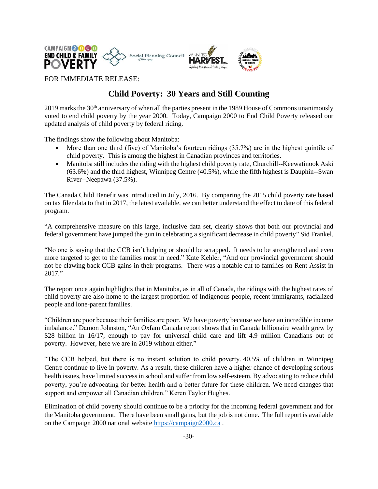

FOR IMMEDIATE RELEASE:

## **Child Poverty: 30 Years and Still Counting**

2019 marks the 30<sup>th</sup> anniversary of when all the parties present in the 1989 House of Commons unanimously voted to end child poverty by the year 2000. Today, Campaign 2000 to End Child Poverty released our updated analysis of child poverty by federal riding.

The findings show the following about Manitoba:

- More than one third (five) of Manitoba's fourteen ridings (35.7%) are in the highest quintile of child poverty. This is among the highest in Canadian provinces and territories.
- Manitoba still includes the riding with the highest child poverty rate, Churchill--Keewatinook Aski (63.6%) and the third highest, Winnipeg Centre (40.5%), while the fifth highest is Dauphin--Swan River--Neepawa (37.5%).

The Canada Child Benefit was introduced in July, 2016. By comparing the 2015 child poverty rate based on tax filer data to that in 2017, the latest available, we can better understand the effect to date of this federal program.

"A comprehensive measure on this large, inclusive data set, clearly shows that both our provincial and federal government have jumped the gun in celebrating a significant decrease in child poverty" Sid Frankel.

"No one is saying that the CCB isn't helping or should be scrapped. It needs to be strengthened and even more targeted to get to the families most in need." Kate Kehler, "And our provincial government should not be clawing back CCB gains in their programs. There was a notable cut to families on Rent Assist in 2017."

The report once again highlights that in Manitoba, as in all of Canada, the ridings with the highest rates of child poverty are also home to the largest proportion of Indigenous people, recent immigrants, racialized people and lone-parent families.

"Children are poor because their families are poor. We have poverty because we have an incredible income imbalance." Damon Johnston, "An Oxfam Canada report shows that in Canada billionaire wealth grew by \$28 billion in 16/17, enough to pay for universal child care and lift 4.9 million Canadians out of poverty. However, here we are in 2019 without either."

"The CCB helped, but there is no instant solution to child poverty. 40.5% of children in Winnipeg Centre continue to live in poverty. As a result, these children have a higher chance of developing serious health issues, have limited success in school and suffer from low self-esteem. By advocating to reduce child poverty, you're advocating for better health and a better future for these children. We need changes that support and empower all Canadian children." Keren Taylor Hughes.

Elimination of child poverty should continue to be a priority for the incoming federal government and for the Manitoba government. There have been small gains, but the job is not done. The full report is available on the Campaign 2000 national website [https://campaign2000.ca](https://campaign2000.ca/) .